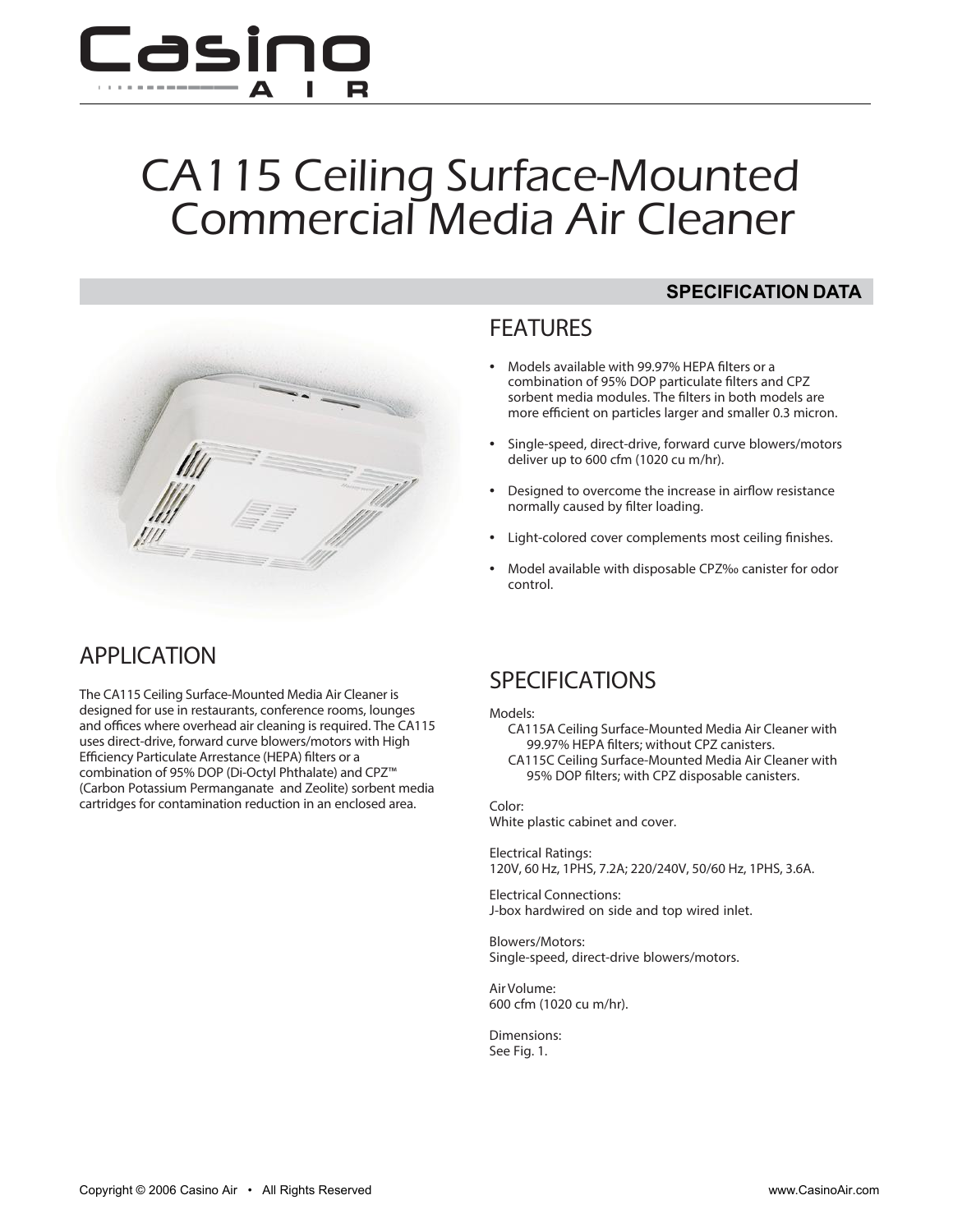

# CA115 Ceiling Surface-Mounted Commercial Media Air Cleaner





- Models available with 99.97% HEPA filters or a combination of 95% DOP particulate filters and CPZ sorbent media modules. The filters in both models are more efficient on particles larger and smaller 0.3 micron.
- Single-speed, direct-drive, forward curve blowers/motors deliver up to 600 cfm (1020 cu m/hr).
- Designed to overcome the increase in airflow resistance normally caused by filter loading.
- Light-colored cover complements most ceiling finishes.
- Model available with disposable CPZ‰ canister for odor control.

## **APPLICATION**

The CA115 Ceiling Surface-Mounted Media Air Cleaner is designed for use in restaurants, conference rooms, lounges and offices where overhead air cleaning is required. The CA115 uses direct-drive, forward curve blowers/motors with High Efficiency Particulate Arrestance (HEPA) filters or a combination of 95% DOP (Di-Octyl Phthalate) and CPZ™ (Carbon Potassium Permanganate and Zeolite) sorbent media cartridges for contamination reduction in an enclosed area.

## **SPECIFICATIONS**

#### **Models:**

- CA115A Ceiling Surface-Mounted Media Air Cleaner with 99.97% HEPA filters; without CPZ canisters.
- CA115C Ceiling Surface-Mounted Media Air Cleaner with 95% DOP filters; with CPZ disposable canisters.

**Color:** White plastic cabinet and cover.

**Electrical Ratings**: 120V, 60 Hz, 1PHS, 7.2A; 220/240V, 50/60 Hz, 1PHS, 3.6A.

**Electrical Connections:** J-box hardwired on side and top wired inlet.

**Blowers/Motors:** Single-speed, direct-drive blowers/motors.

**Air Volume:** 600 cfm (1020 cu m/hr).

**Dimensions:** See Fig. 1.